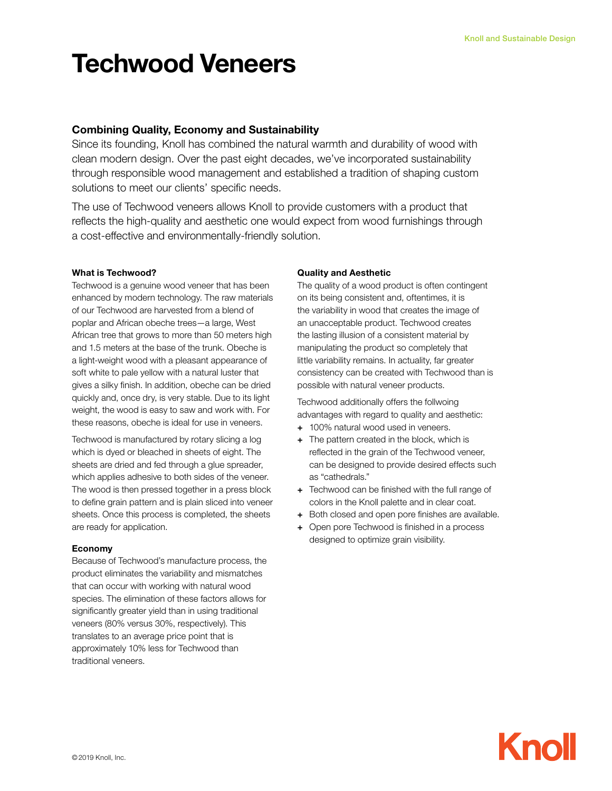# Techwood Veneers

# Combining Quality, Economy and Sustainability

Since its founding, Knoll has combined the natural warmth and durability of wood with clean modern design. Over the past eight decades, we've incorporated sustainability through responsible wood management and established a tradition of shaping custom solutions to meet our clients' specific needs.

The use of Techwood veneers allows Knoll to provide customers with a product that reflects the high-quality and aesthetic one would expect from wood furnishings through a cost-effective and environmentally-friendly solution.

# What is Techwood?

Techwood is a genuine wood veneer that has been enhanced by modern technology. The raw materials of our Techwood are harvested from a blend of poplar and African obeche trees—a large, West African tree that grows to more than 50 meters high and 1.5 meters at the base of the trunk. Obeche is a light-weight wood with a pleasant appearance of soft white to pale yellow with a natural luster that gives a silky finish. In addition, obeche can be dried quickly and, once dry, is very stable. Due to its light weight, the wood is easy to saw and work with. For these reasons, obeche is ideal for use in veneers.

Techwood is manufactured by rotary slicing a log which is dyed or bleached in sheets of eight. The sheets are dried and fed through a glue spreader, which applies adhesive to both sides of the veneer. The wood is then pressed together in a press block to define grain pattern and is plain sliced into veneer sheets. Once this process is completed, the sheets are ready for application.

# Economy

Because of Techwood's manufacture process, the product eliminates the variability and mismatches that can occur with working with natural wood species. The elimination of these factors allows for significantly greater yield than in using traditional veneers (80% versus 30%, respectively). This translates to an average price point that is approximately 10% less for Techwood than traditional veneers.

# Quality and Aesthetic

The quality of a wood product is often contingent on its being consistent and, oftentimes, it is the variability in wood that creates the image of an unacceptable product. Techwood creates the lasting illusion of a consistent material by manipulating the product so completely that little variability remains. In actuality, far greater consistency can be created with Techwood than is possible with natural veneer products.

Techwood additionally offers the follwoing advantages with regard to quality and aesthetic:

- + 100% natural wood used in veneers.
- + The pattern created in the block, which is reflected in the grain of the Techwood veneer, can be designed to provide desired effects such as "cathedrals."
- + Techwood can be finished with the full range of colors in the Knoll palette and in clear coat.
- + Both closed and open pore finishes are available.
- + Open pore Techwood is finished in a process designed to optimize grain visibility.